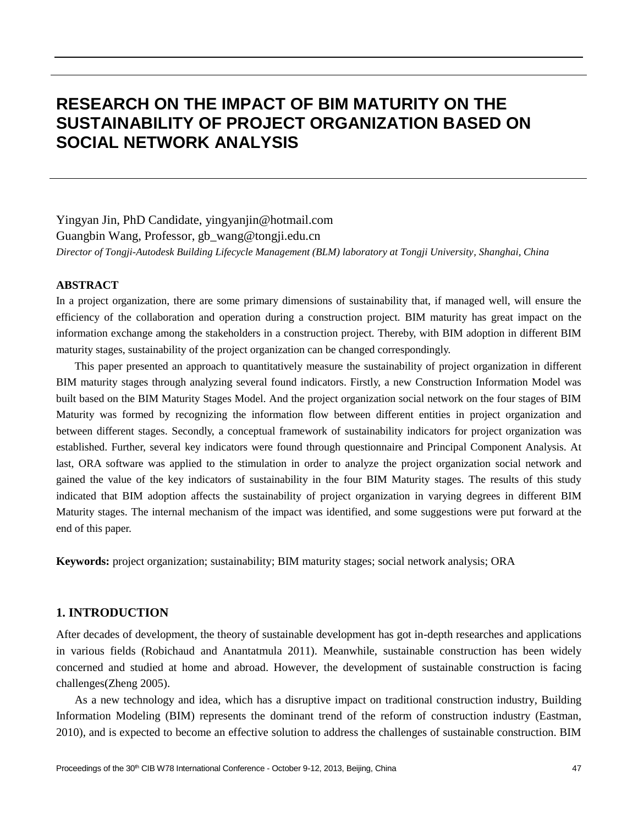# **RESEARCH ON THE IMPACT OF BIM MATURITY ON THE SUSTAINABILITY OF PROJECT ORGANIZATION BASED ON SOCIAL NETWORK ANALYSIS**

Yingyan Jin, PhD Candidate, yingyanjin@hotmail.com Guangbin Wang, Professor, gb\_wang@tongji.edu.cn *Director of Tongji-Autodesk Building Lifecycle Management (BLM) laboratory at Tongji University, Shanghai, China*

#### **ABSTRACT**

In a project organization, there are some primary dimensions of sustainability that, if managed well, will ensure the efficiency of the collaboration and operation during a construction project. BIM maturity has great impact on the information exchange among the stakeholders in a construction project. Thereby, with BIM adoption in different BIM maturity stages, sustainability of the project organization can be changed correspondingly.

This paper presented an approach to quantitatively measure the sustainability of project organization in different BIM maturity stages through analyzing several found indicators. Firstly, a new Construction Information Model was built based on the BIM Maturity Stages Model. And the project organization social network on the four stages of BIM Maturity was formed by recognizing the information flow between different entities in project organization and between different stages. Secondly, a conceptual framework of sustainability indicators for project organization was established. Further, several key indicators were found through questionnaire and Principal Component Analysis. At last, ORA software was applied to the stimulation in order to analyze the project organization social network and gained the value of the key indicators of sustainability in the four BIM Maturity stages. The results of this study indicated that BIM adoption affects the sustainability of project organization in varying degrees in different BIM Maturity stages. The internal mechanism of the impact was identified, and some suggestions were put forward at the end of this paper.

**Keywords:** project organization; sustainability; BIM maturity stages; social network analysis; ORA

# **1. INTRODUCTION**

After decades of development, the theory of sustainable development has got in-depth researches and applications in various fields (Robichaud and Anantatmula 2011). Meanwhile, sustainable construction has been widely concerned and studied at home and abroad. However, the development of sustainable construction is facing challenges(Zheng 2005).

As a new technology and idea, which has a disruptive impact on traditional construction industry, Building Information Modeling (BIM) represents the dominant trend of the reform of construction industry (Eastman, 2010), and is expected to become an effective solution to address the challenges of sustainable construction. BIM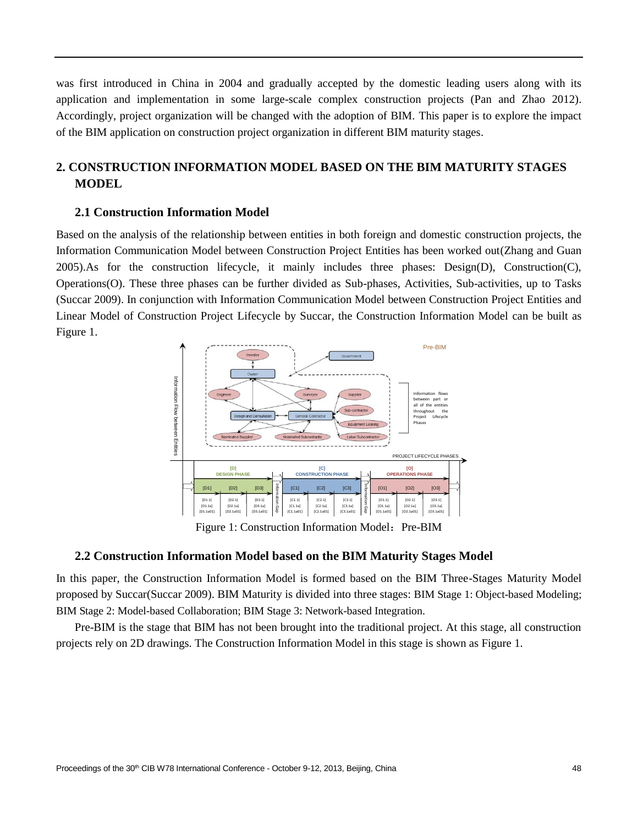was first introduced in China in 2004 and gradually accepted by the domestic leading users along with its application and implementation in some large-scale complex construction projects (Pan and Zhao 2012). Accordingly, project organization will be changed with the adoption of BIM. This paper is to explore the impact of the BIM application on construction project organization in different BIM maturity stages.

# **2. CONSTRUCTION INFORMATION MODEL BASED ON THE BIM MATURITY STAGES MODEL**

# **2.1 Construction Information Model**

Based on the analysis of the relationship between entities in both foreign and domestic construction projects, the Information Communication Model between Construction Project Entities has been worked out(Zhang and Guan 2005).As for the construction lifecycle, it mainly includes three phases: Design(D), Construction(C), Operations(O). These three phases can be further divided as Sub-phases, Activities, Sub-activities, up to Tasks (Succar 2009). In conjunction with Information Communication Model between Construction Project Entities and Linear Model of Construction Project Lifecycle by Succar, the Construction Information Model can be built as Figure 1.



Figure 1: Construction Information Model: Pre-BIM

## **2.2 Construction Information Model based on the BIM Maturity Stages Model**

In this paper, the Construction Information Model is formed based on the BIM Three-Stages Maturity Model proposed by Succar(Succar 2009). BIM Maturity is divided into three stages: BIM Stage 1: Object-based Modeling; BIM Stage 2: Model-based Collaboration; BIM Stage 3: Network-based Integration.

Pre-BIM is the stage that BIM has not been brought into the traditional project. At this stage, all construction projects rely on 2D drawings. The Construction Information Model in this stage is shown as Figure 1.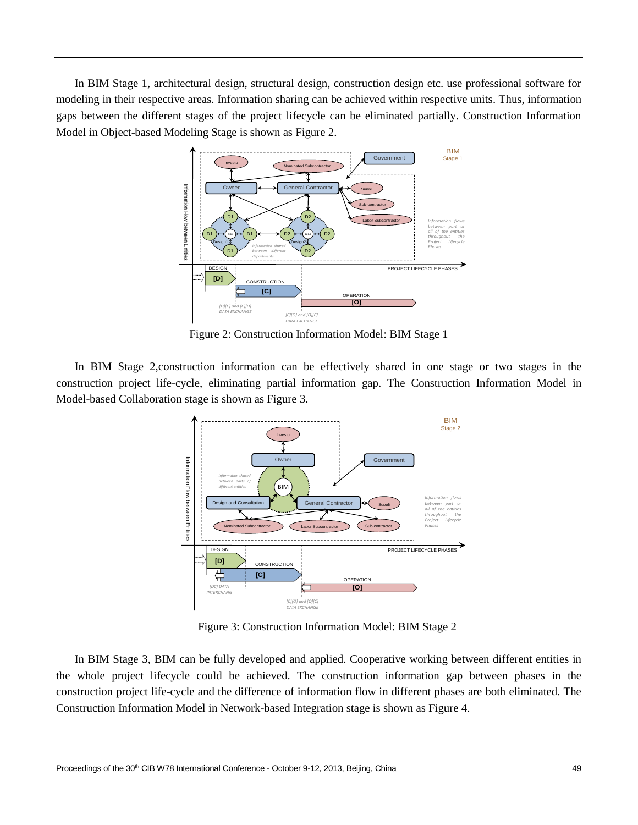In BIM Stage 1, architectural design, structural design, construction design etc. use professional software for modeling in their respective areas. Information sharing can be achieved within respective units. Thus, information gaps between the different stages of the project lifecycle can be eliminated partially. Construction Information Model in Object-based Modeling Stage is shown as Figure 2.



Figure 2: Construction Information Model: BIM Stage 1

In BIM Stage 2,construction information can be effectively shared in one stage or two stages in the construction project life-cycle, eliminating partial information gap. The Construction Information Model in Model-based Collaboration stage is shown as Figure 3.



Figure 3: Construction Information Model: BIM Stage 2

In BIM Stage 3, BIM can be fully developed and applied. Cooperative working between different entities in the whole project lifecycle could be achieved. The construction information gap between phases in the construction project life-cycle and the difference of information flow in different phases are both eliminated. The Construction Information Model in Network-based Integration stage is shown as Figure 4.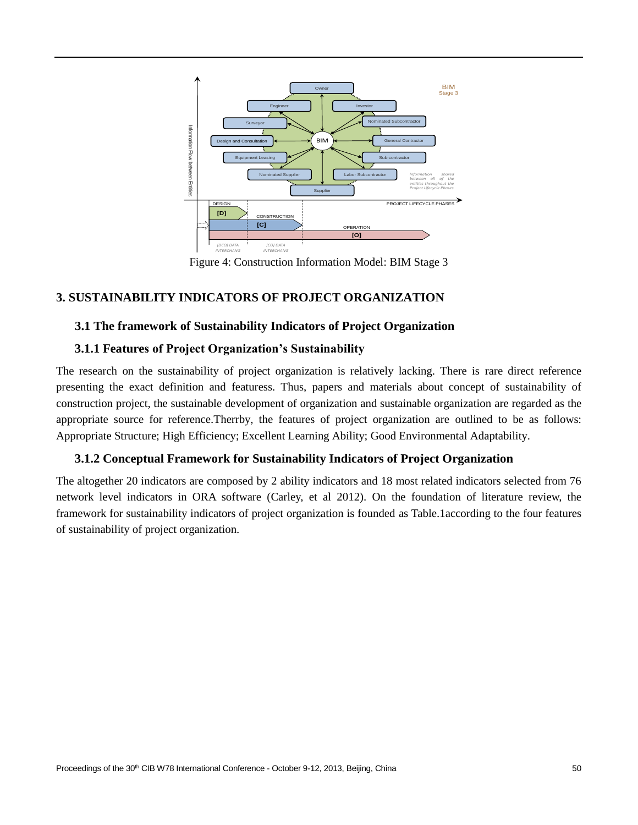

Figure 4: Construction Information Model: BIM Stage 3

# **3. SUSTAINABILITY INDICATORS OF PROJECT ORGANIZATION**

## **3.1 The framework of Sustainability Indicators of Project Organization**

## **3.1.1 Features of Project Organization's Sustainability**

The research on the sustainability of project organization is relatively lacking. There is rare direct reference presenting the exact definition and featuress. Thus, papers and materials about concept of sustainability of construction project, the sustainable development of organization and sustainable organization are regarded as the appropriate source for reference.Therrby, the features of project organization are outlined to be as follows: Appropriate Structure; High Efficiency; Excellent Learning Ability; Good Environmental Adaptability.

## **3.1.2 Conceptual Framework for Sustainability Indicators of Project Organization**

The altogether 20 indicators are composed by 2 ability indicators and 18 most related indicators selected from 76 network level indicators in ORA software (Carley, et al 2012). On the foundation of literature review, the framework for sustainability indicators of project organization is founded as Table.1according to the four features of sustainability of project organization.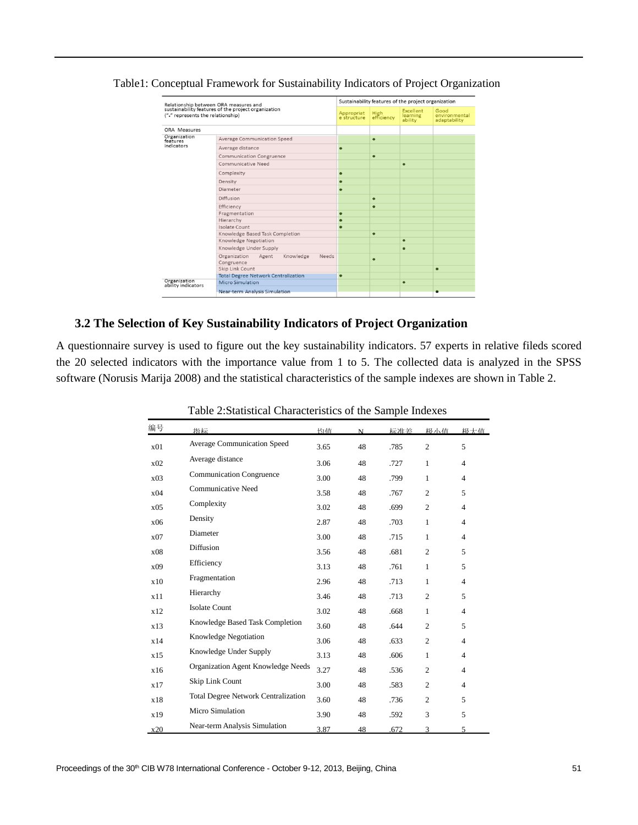| Relationship between ORA measures and<br>sustainability features of the project organization<br>("." represents the relationship) |                                                                  | Sustainability features of the project organization |                    |                                  |                                       |  |
|-----------------------------------------------------------------------------------------------------------------------------------|------------------------------------------------------------------|-----------------------------------------------------|--------------------|----------------------------------|---------------------------------------|--|
|                                                                                                                                   |                                                                  | Appropriat<br>e structure                           | High<br>efficiency | Excellent<br>learning<br>ability | Good<br>environmental<br>adaptability |  |
| ORA Measures                                                                                                                      |                                                                  |                                                     |                    |                                  |                                       |  |
| Organization<br>features                                                                                                          | <b>Average Communication Speed</b>                               |                                                     | $\bullet$          |                                  |                                       |  |
| indicators                                                                                                                        | Average distance                                                 |                                                     |                    |                                  |                                       |  |
|                                                                                                                                   | <b>Communication Congruence</b>                                  |                                                     | ٠                  |                                  |                                       |  |
|                                                                                                                                   | Communicative Need                                               |                                                     |                    | ٠                                |                                       |  |
|                                                                                                                                   | Complexity                                                       |                                                     |                    |                                  |                                       |  |
|                                                                                                                                   | Density                                                          | $\bullet$                                           |                    |                                  |                                       |  |
|                                                                                                                                   | Diameter                                                         |                                                     |                    |                                  |                                       |  |
|                                                                                                                                   | Diffusion                                                        |                                                     | $\bullet$          |                                  |                                       |  |
|                                                                                                                                   | Efficiency                                                       |                                                     | $\bullet$          |                                  |                                       |  |
|                                                                                                                                   | Fragmentation                                                    | $\bullet$                                           |                    |                                  |                                       |  |
|                                                                                                                                   | Hierarchy                                                        |                                                     |                    |                                  |                                       |  |
|                                                                                                                                   | Isolate Count                                                    |                                                     |                    |                                  |                                       |  |
|                                                                                                                                   | Knowledge Based Task Completion                                  |                                                     | $\bullet$          |                                  |                                       |  |
|                                                                                                                                   | Knowledge Negotiation                                            |                                                     |                    | $\bullet$                        |                                       |  |
|                                                                                                                                   | Knowledge Under Supply                                           |                                                     |                    |                                  |                                       |  |
|                                                                                                                                   | Knowledge<br>Organization<br><b>Needs</b><br>Agent<br>Congruence |                                                     | $\bullet$          |                                  |                                       |  |
|                                                                                                                                   | Skip Link Count                                                  |                                                     |                    |                                  | $\bullet$                             |  |
|                                                                                                                                   | <b>Total Degree Network Centralization</b>                       | $\bullet$                                           |                    |                                  |                                       |  |
| Organization<br>ability indicators                                                                                                | Micro Simulation                                                 |                                                     |                    | $\bullet$                        |                                       |  |
|                                                                                                                                   | Near-term Analysis Simulation                                    |                                                     |                    |                                  |                                       |  |
|                                                                                                                                   |                                                                  |                                                     |                    |                                  |                                       |  |

Table1: Conceptual Framework for Sustainability Indicators of Project Organization

# **3.2 The Selection of Key Sustainability Indicators of Project Organization**

A questionnaire survey is used to figure out the key sustainability indicators. 57 experts in relative fileds scored the 20 selected indicators with the importance value from 1 to 5. The collected data is analyzed in the SPSS software (Norusis Marija 2008) and the statistical characteristics of the sample indexes are shown in Table 2.

| 编号              | 指标                                         | 均值   | N  | 标准差  | 极小值            | 极大估            |
|-----------------|--------------------------------------------|------|----|------|----------------|----------------|
| x01             | Average Communication Speed                | 3.65 | 48 | .785 | $\overline{2}$ | 5              |
| x <sub>02</sub> | Average distance                           | 3.06 | 48 | .727 | 1              | $\overline{4}$ |
| x03             | <b>Communication Congruence</b>            | 3.00 | 48 | .799 | 1              | $\overline{4}$ |
| x04             | <b>Communicative Need</b>                  | 3.58 | 48 | .767 | 2              | 5              |
| x05             | Complexity                                 | 3.02 | 48 | .699 | $\mathfrak{D}$ | $\overline{4}$ |
| x06             | Density                                    | 2.87 | 48 | .703 | $\mathbf{1}$   | $\overline{4}$ |
| x07             | Diameter                                   | 3.00 | 48 | .715 | $\mathbf{1}$   | $\overline{4}$ |
| x08             | Diffusion                                  | 3.56 | 48 | .681 | 2              | 5              |
| x09             | Efficiency                                 | 3.13 | 48 | .761 | $\mathbf{1}$   | 5              |
| x10             | Fragmentation                              | 2.96 | 48 | .713 | $\mathbf{1}$   | $\overline{4}$ |
| x11             | Hierarchy                                  | 3.46 | 48 | .713 | $\overline{c}$ | 5              |
| x12             | <b>Isolate Count</b>                       | 3.02 | 48 | .668 | 1              | $\overline{4}$ |
| x13             | Knowledge Based Task Completion            | 3.60 | 48 | .644 | 2              | 5              |
| x14             | Knowledge Negotiation                      | 3.06 | 48 | .633 | $\overline{2}$ | $\overline{4}$ |
| x15             | Knowledge Under Supply                     | 3.13 | 48 | .606 | 1              | $\overline{4}$ |
| x16             | Organization Agent Knowledge Needs         | 3.27 | 48 | .536 | 2              | 4              |
| x17             | Skip Link Count                            | 3.00 | 48 | .583 | 2              | $\overline{4}$ |
| x18             | <b>Total Degree Network Centralization</b> | 3.60 | 48 | .736 | $\overline{2}$ | 5              |
| x19             | Micro Simulation                           | 3.90 | 48 | .592 | 3              | 5              |
| x20             | Near-term Analysis Simulation              | 3.87 | 48 | .672 | 3              | 5              |

Table 2:Statistical Characteristics of the Sample Indexes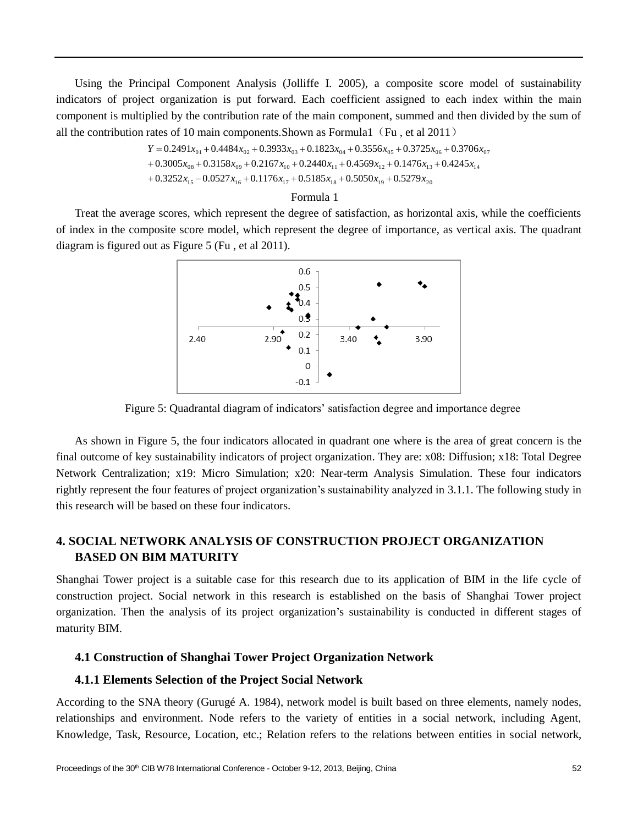Using the Principal Component Analysis (Jolliffe I. 2005), a composite score model of sustainability indicators of project organization is put forward. Each coefficient assigned to each index within the main component is multiplied by the contribution rate of the main component, summed and then divided by the sum of all the contribution rates of 10 main components. Shown as Formula 1 (Fu, et al 2011)

> $+0.3252x_{15} -0.0527x_{16} +0.1176x_{17} +0.5185x_{18} +0.5050x_{19} +0.5279x_{20}$  $+0.3005x_{08} + 0.3158x_{09} + 0.2167x_{10} + 0.2440x_{11} + 0.4569x_{12} + 0.1476x_{13} + 0.4245x_{14}$  $Y = 0.2491x_{01} + 0.4484x_{02} + 0.3933x_{03} + 0.1823x_{04} + 0.3556x_{05} + 0.3725x_{06} + 0.3706x_{07}$

#### Formula 1

Treat the average scores, which represent the degree of satisfaction, as horizontal axis, while the coefficients of index in the composite score model, which represent the degree of importance, as vertical axis. The quadrant diagram is figured out as Figure 5 (Fu , et al 2011).



Figure 5: Quadrantal diagram of indicators' satisfaction degree and importance degree

As shown in Figure 5, the four indicators allocated in quadrant one where is the area of great concern is the final outcome of key sustainability indicators of project organization. They are: x08: Diffusion; x18: Total Degree Network Centralization; x19: Micro Simulation; x20: Near-term Analysis Simulation. These four indicators rightly represent the four features of project organization's sustainability analyzed in 3.1.1. The following study in this research will be based on these four indicators.

# **4. SOCIAL NETWORK ANALYSIS OF CONSTRUCTION PROJECT ORGANIZATION BASED ON BIM MATURITY**

Shanghai Tower project is a suitable case for this research due to its application of BIM in the life cycle of construction project. Social network in this research is established on the basis of Shanghai Tower project organization. Then the analysis of its project organization's sustainability is conducted in different stages of maturity BIM.

### **4.1 Construction of Shanghai Tower Project Organization Network**

#### **4.1.1 Elements Selection of the Project Social Network**

According to the SNA theory (Gurugé A. 1984), network model is built based on three elements, namely nodes, relationships and environment. Node refers to the variety of entities in a social network, including Agent, Knowledge, Task, Resource, Location, etc.; Relation refers to the relations between entities in social network,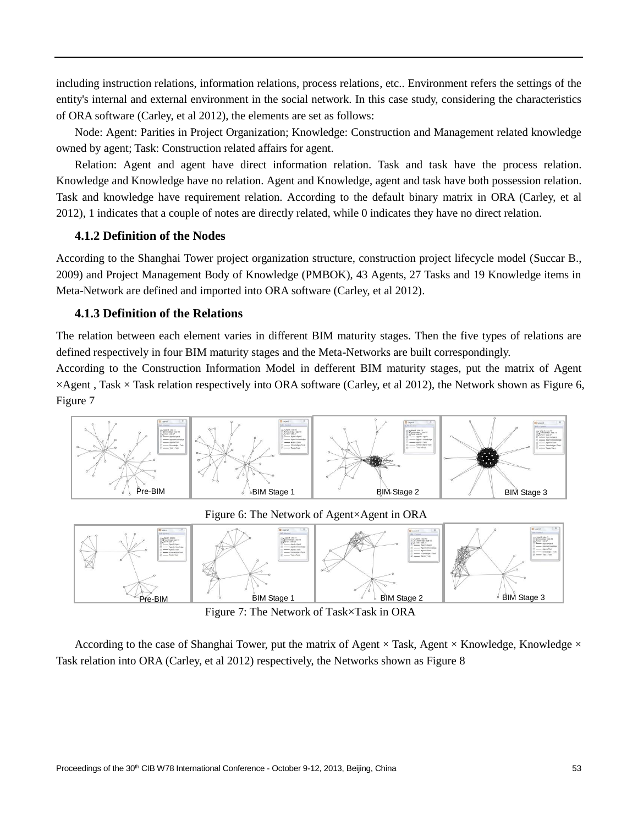including instruction relations, information relations, process relations, etc.. Environment refers the settings of the entity's internal and external environment in the social network. In this case study, considering the characteristics of ORA software (Carley, et al 2012), the elements are set as follows:

Node: Agent: Parities in Project Organization; Knowledge: Construction and Management related knowledge owned by agent; Task: Construction related affairs for agent.

Relation: Agent and agent have direct information relation. Task and task have the process relation. Knowledge and Knowledge have no relation. Agent and Knowledge, agent and task have both possession relation. Task and knowledge have requirement relation. According to the default binary matrix in ORA (Carley, et al 2012), 1 indicates that a couple of notes are directly related, while 0 indicates they have no direct relation.

#### **4.1.2 Definition of the Nodes**

According to the Shanghai Tower project organization structure, construction project lifecycle model (Succar B., 2009) and Project Management Body of Knowledge (PMBOK), 43 Agents, 27 Tasks and 19 Knowledge items in Meta-Network are defined and imported into ORA software (Carley, et al 2012).

### **4.1.3 Definition of the Relations**

The relation between each element varies in different BIM maturity stages. Then the five types of relations are defined respectively in four BIM maturity stages and the Meta-Networks are built correspondingly.

According to the Construction Information Model in defferent BIM maturity stages, put the matrix of Agent  $\times$ Agent, Task  $\times$ Task relation respectively into ORA software (Carley, et al 2012), the Network shown as Figure 6, Figure 7



Figure 6: The Network of Agent×Agent in ORA



Figure 7: The Network of Task×Task in ORA

According to the case of Shanghai Tower, put the matrix of Agent  $\times$ Task, Agent  $\times$ Knowledge, Knowledge  $\times$ Task relation into ORA (Carley, et al 2012) respectively, the Networks shown as Figure 8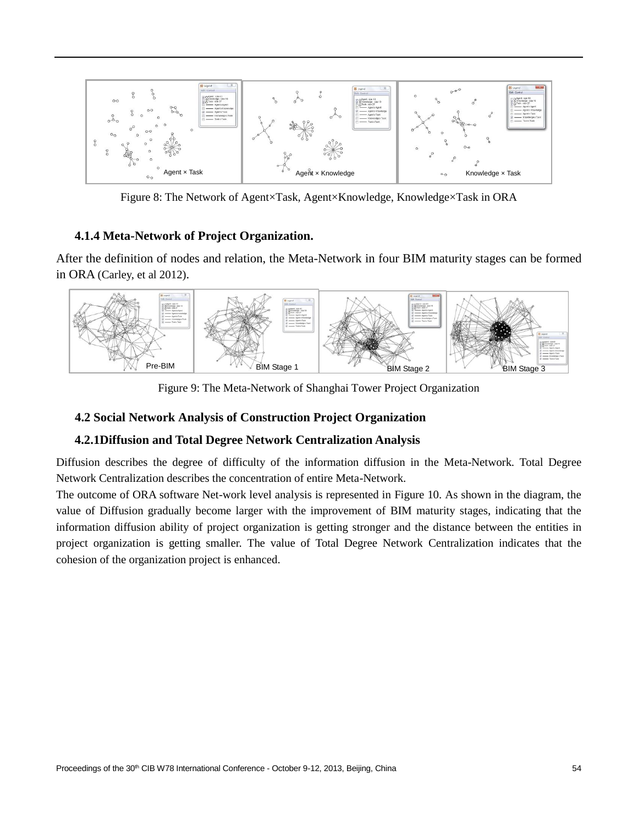

Figure 8: The Network of Agent×Task, Agent×Knowledge, Knowledge×Task in ORA

# **4.1.4 Meta-Network of Project Organization.**

After the definition of nodes and relation, the Meta-Network in four BIM maturity stages can be formed in ORA (Carley, et al 2012).



Figure 9: The Meta-Network of Shanghai Tower Project Organization

# **4.2 Social Network Analysis of Construction Project Organization**

# **4.2.1Diffusion and Total Degree Network Centralization Analysis**

Diffusion describes the degree of difficulty of the information diffusion in the Meta-Network. Total Degree Network Centralization describes the concentration of entire Meta-Network.

The outcome of ORA software Net-work level analysis is represented in Figure 10. As shown in the diagram, the value of Diffusion gradually become larger with the improvement of BIM maturity stages, indicating that the information diffusion ability of project organization is getting stronger and the distance between the entities in project organization is getting smaller. The value of Total Degree Network Centralization indicates that the cohesion of the organization project is enhanced.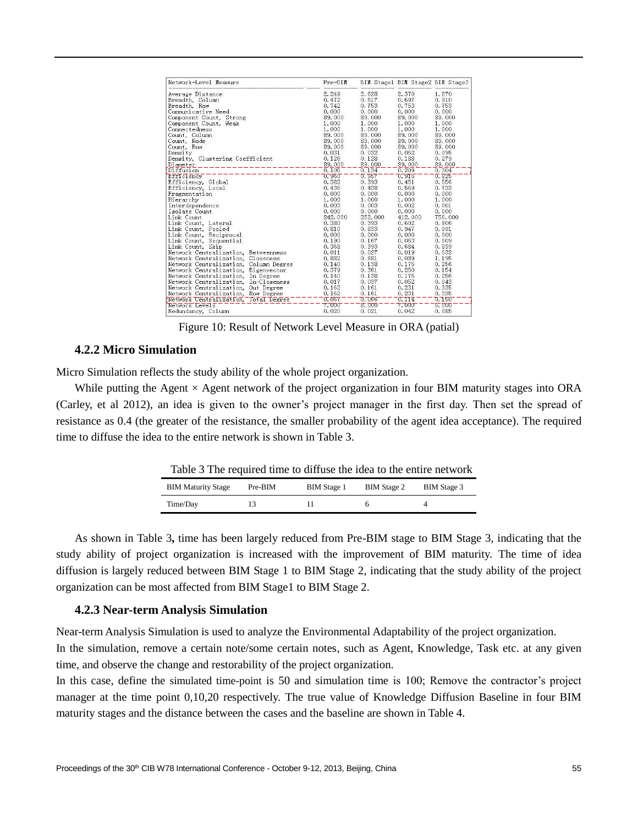| Network-Level Measure                 | $Pre-BIM$ |         | BIM Stage1 BIM Stage2 BIM Stage3 |         |
|---------------------------------------|-----------|---------|----------------------------------|---------|
| Average Distance                      | 2.249     | 2.628   | 2.370                            | 1.870   |
| Breadth. Column                       | 0.472     | 0.517   | 0.697                            | 0.910   |
| Breadth, Row                          | 0.742     | 0.753   | 0.753                            | 0.753   |
| Communicative Need                    | 0.000     | 0.000   | 0.000                            | 0.000   |
| Component Count, Strong               | 89.000    | 89.000  | 89.000                           | 89.000  |
| Component Count. Weak                 | 1.000     | 1.000   | 1.000                            | 1.000   |
| Connectedness                         | 1.000     | 1.000   | 1.000                            | 1.000   |
| Count. Column                         | 89.000    | 89.000  | 89.000                           | 89.000  |
| Count. Node                           | 89.000    | 89.000  | 89.000                           | 89.000  |
| Count. Row                            | 89.000    | 89.000  | 89.000                           | 89.000  |
| Density                               | 0.031     | 0.032   | 0.052                            | 0.095   |
| Density, Clustering Coefficient       | 0.126     | 0.128   | 0.188                            | 0.279   |
| Diameter                              | 89.000    | 89.000  | 89.000                           | 89.000  |
| Diffusion                             | 0.105     | 0.134   | 0.209                            | 0.304   |
| Efficiency                            | 0.960     | 0.957   | 0.915                            | 0.825   |
| Efficiency, Global                    | 0.382     | 0.393   | 0.451                            | 0.556   |
| Efficiency, Local                     | 0.436     | 0.438   | 0.569                            | 0.733   |
| Fragmentation                         | 0.000     | 0.000   | 0.000                            | 0.000   |
| Hierarchy                             | 1.000     | 1.000   | 1.000                            | 1.000   |
| Interdependence                       | 0.003     | 0.003   | 0.002                            | 0.001   |
| Isolate Count                         | 0.000     | 0.000   | 0.000                            | 0.000   |
| Link Count                            | 242.000   | 252.000 | 412.000                          | 756.000 |
| Link Count, Lateral                   | 0.380     | 0.393   | 0.602                            | 0.806   |
| Link Count, Pooled                    | 0.810     | 0.833   | 0.947                            | 0.991   |
| Link Count, Reciprocal                | 0.000     | 0.000   | 0.000                            | 0.000   |
| Link Count, Sequential                | 0.190     | 0.167   | 0.053                            | 0.009   |
| Link Count, Skip                      | 0.368     | 0.393   | 0.684                            | 0.839   |
| Network Centralization, Betweenness   | 0.011     | 0.027   | 0.019                            | 0.032   |
| Network Centralization, Closeness     | 0.882     | 0.881   | 0.089                            | 1.195   |
| Network Centralization, Column Degree | 0.140     | 0.138   | 0.175                            | 0.256   |
| Network Centralization, Eigenvector   | 0.379     | 0.361   | 0.250                            | 0.154   |
| Network Centralization, In Degree     | 0.140     | 0.138   | 0.175                            | 0.256   |
| Network Centralization, In-Closeness  | 0.017     | 0.037   | 0.052                            | 0.043   |
| Network Centralization, Out Degree    | 0.162     | 0.161   | 0.231                            | 0.335   |
| Network Centralization, Row Degree    | 0.162     | 0.161   | 0.231                            | 0.335   |
| Network Centralization, Total Degree  | 0.067     | 0.066   | 0.114                            | 0.150   |
| Network Levels                        | 7.000     | 8.000   | 7.000                            | 5.000   |
| Redundancy, Column                    | 0.020     | 0.021   | 0.042                            | 0.085   |

Figure 10: Result of Network Level Measure in ORA (patial)

### **4.2.2 Micro Simulation**

Micro Simulation reflects the study ability of the whole project organization.

While putting the Agent  $\times$  Agent network of the project organization in four BIM maturity stages into ORA (Carley, et al 2012), an idea is given to the owner's project manager in the first day. Then set the spread of resistance as 0.4 (the greater of the resistance, the smaller probability of the agent idea acceptance). The required time to diffuse the idea to the entire network is shown in Table 3.

| Table 3 The required time to diffuse the idea to the entire network |  |
|---------------------------------------------------------------------|--|
|                                                                     |  |

| <b>BIM Maturity Stage</b> | Pre-BIM | <b>BIM</b> Stage 1 | <b>BIM</b> Stage 2 | <b>BIM</b> Stage 3 |
|---------------------------|---------|--------------------|--------------------|--------------------|
| Time/Day                  |         |                    |                    |                    |

As shown in Table 3**,** time has been largely reduced from Pre-BIM stage to BIM Stage 3, indicating that the study ability of project organization is increased with the improvement of BIM maturity. The time of idea diffusion is largely reduced between BIM Stage 1 to BIM Stage 2, indicating that the study ability of the project organization can be most affected from BIM Stage1 to BIM Stage 2.

#### **4.2.3 Near-term Analysis Simulation**

Near-term Analysis Simulation is used to analyze the Environmental Adaptability of the project organization.

In the simulation, remove a certain note/some certain notes, such as Agent, Knowledge, Task etc. at any given time, and observe the change and restorability of the project organization.

In this case, define the simulated time-point is 50 and simulation time is 100; Remove the contractor's project manager at the time point 0,10,20 respectively. The true value of Knowledge Diffusion Baseline in four BIM maturity stages and the distance between the cases and the baseline are shown in Table 4.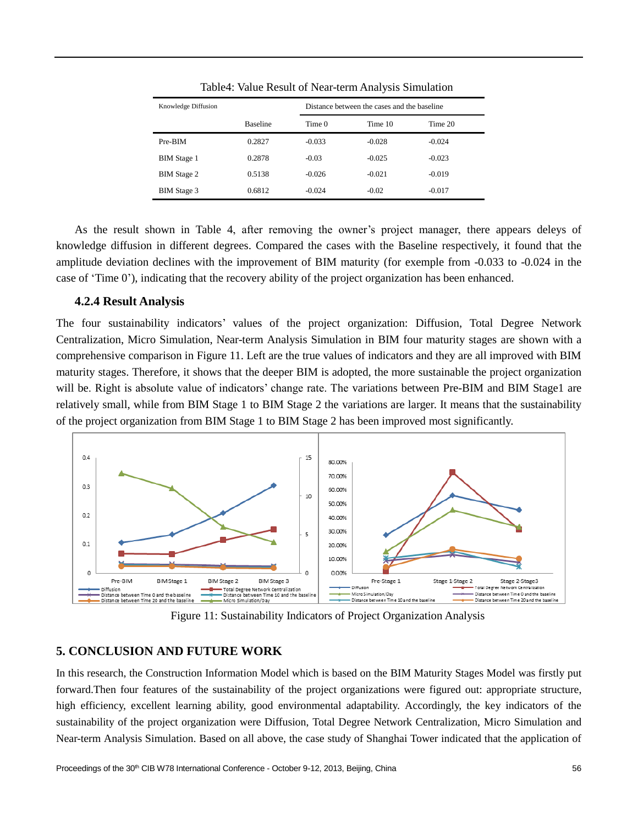| Knowledge Diffusion |                 | Distance between the cases and the baseline |          |          |
|---------------------|-----------------|---------------------------------------------|----------|----------|
|                     | <b>Baseline</b> | Time 0                                      | Time 10  | Time 20  |
| Pre-BIM             | 0.2827          | $-0.033$                                    | $-0.028$ | $-0.024$ |
| <b>BIM</b> Stage 1  | 0.2878          | $-0.03$                                     | $-0.025$ | $-0.023$ |
| <b>BIM</b> Stage 2  | 0.5138          | $-0.026$                                    | $-0.021$ | $-0.019$ |
| <b>BIM</b> Stage 3  | 0.6812          | $-0.024$                                    | $-0.02$  | $-0.017$ |

Table4: Value Result of Near-term Analysis Simulation

As the result shown in Table 4, after removing the owner's project manager, there appears deleys of knowledge diffusion in different degrees. Compared the cases with the Baseline respectively, it found that the amplitude deviation declines with the improvement of BIM maturity (for exemple from -0.033 to -0.024 in the case of 'Time 0'), indicating that the recovery ability of the project organization has been enhanced.

### **4.2.4 Result Analysis**

The four sustainability indicators' values of the project organization: Diffusion, Total Degree Network Centralization, Micro Simulation, Near-term Analysis Simulation in BIM four maturity stages are shown with a comprehensive comparison in Figure 11. Left are the true values of indicators and they are all improved with BIM maturity stages. Therefore, it shows that the deeper BIM is adopted, the more sustainable the project organization will be. Right is absolute value of indicators' change rate. The variations between Pre-BIM and BIM Stage1 are relatively small, while from BIM Stage 1 to BIM Stage 2 the variations are larger. It means that the sustainability of the project organization from BIM Stage 1 to BIM Stage 2 has been improved most significantly.



Figure 11: Sustainability Indicators of Project Organization Analysis

# **5. CONCLUSION AND FUTURE WORK**

In this research, the Construction Information Model which is based on the BIM Maturity Stages Model was firstly put forward.Then four features of the sustainability of the project organizations were figured out: appropriate structure, high efficiency, excellent learning ability, good environmental adaptability. Accordingly, the key indicators of the sustainability of the project organization were Diffusion, Total Degree Network Centralization, Micro Simulation and Near-term Analysis Simulation. Based on all above, the case study of Shanghai Tower indicated that the application of